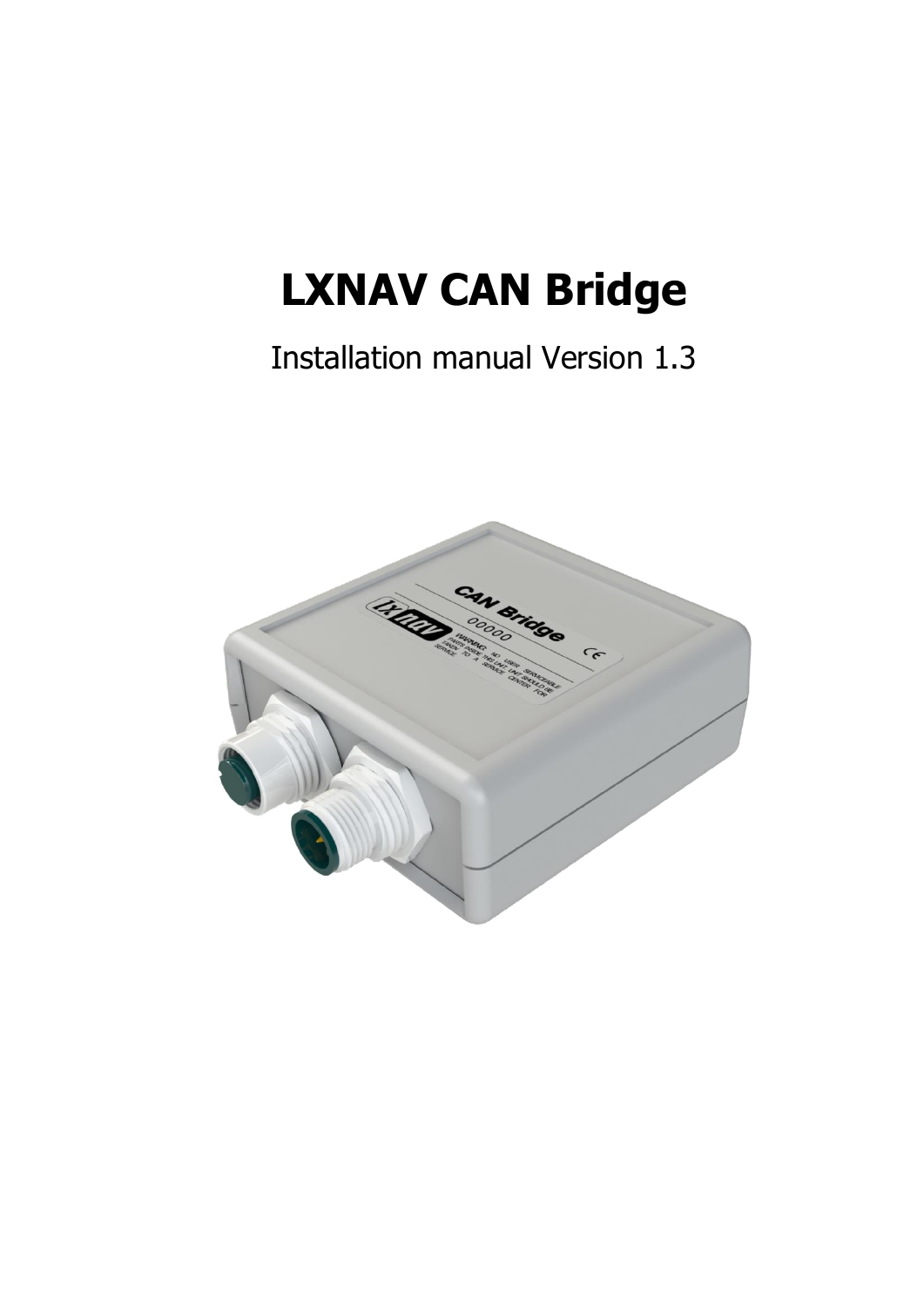# **LXNAV CAN Bridge**

# Installation manual Version 1.3

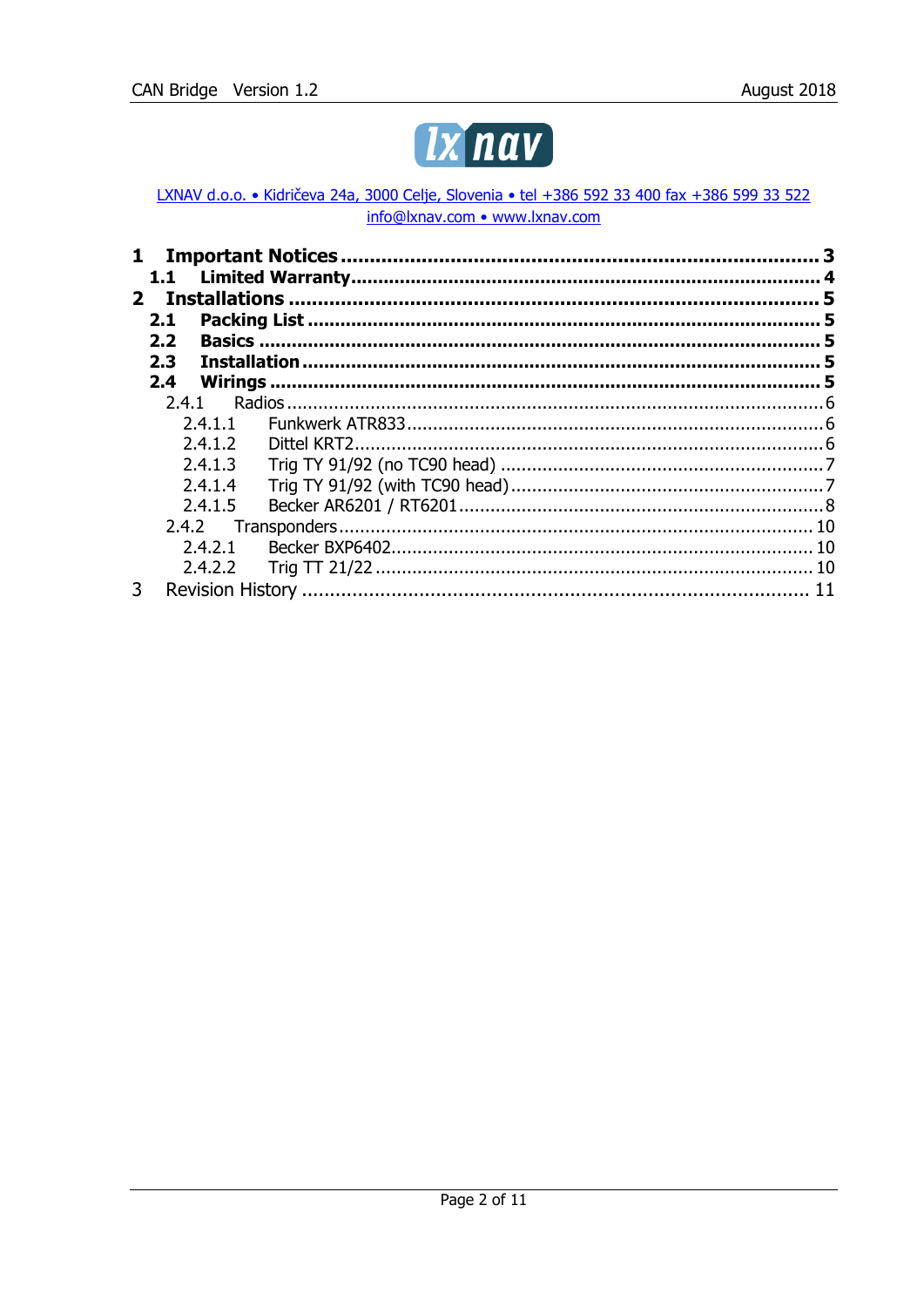

LXNAV d.o.o. • Kidričeva 24a, 3000 Celje, Slovenia • tel +386 592 33 400 fax +386 599 33 522 info@lxnav.com • www.lxnav.com

|              | 1.1              |         |  |  |  |
|--------------|------------------|---------|--|--|--|
| $\mathbf{p}$ |                  |         |  |  |  |
|              | 2.1              |         |  |  |  |
|              | 2.2              |         |  |  |  |
|              | 2.3 <sub>1</sub> |         |  |  |  |
|              | 2.4              |         |  |  |  |
|              | 7.4.1            |         |  |  |  |
|              |                  | 2.4.1.1 |  |  |  |
|              |                  | 2.4.1.2 |  |  |  |
|              |                  | 2.4.1.3 |  |  |  |
|              |                  | 7.4.1.4 |  |  |  |
|              |                  | 2.4.1.5 |  |  |  |
|              |                  | 2.4.2   |  |  |  |
|              |                  | 2.4.2.1 |  |  |  |
|              |                  | 7.4.7.7 |  |  |  |
| 3            |                  |         |  |  |  |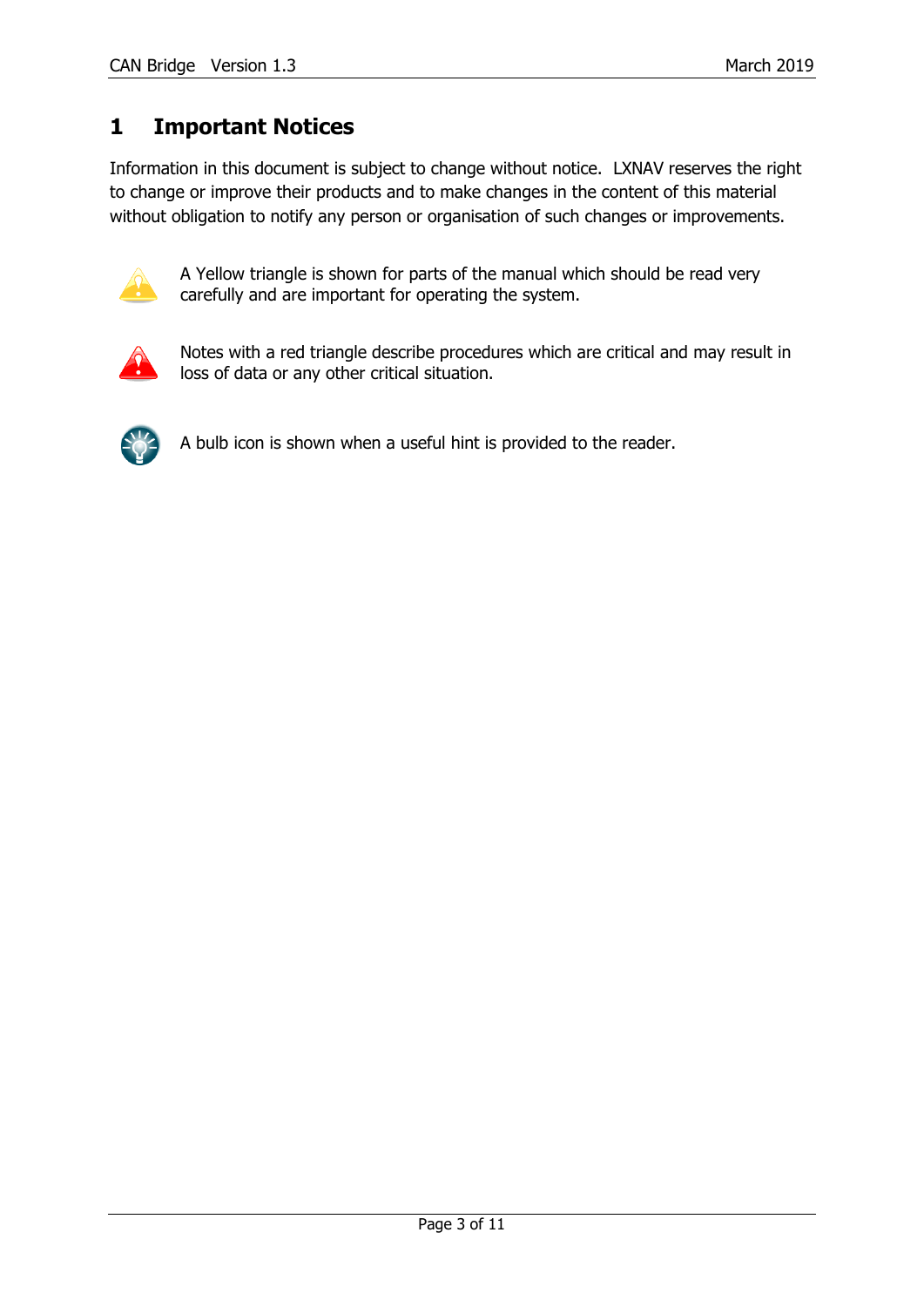## <span id="page-2-0"></span>**1 Important Notices**

Information in this document is subject to change without notice. LXNAV reserves the right to change or improve their products and to make changes in the content of this material without obligation to notify any person or organisation of such changes or improvements.



A Yellow triangle is shown for parts of the manual which should be read very carefully and are important for operating the system.



Notes with a red triangle describe procedures which are critical and may result in loss of data or any other critical situation.



A bulb icon is shown when a useful hint is provided to the reader.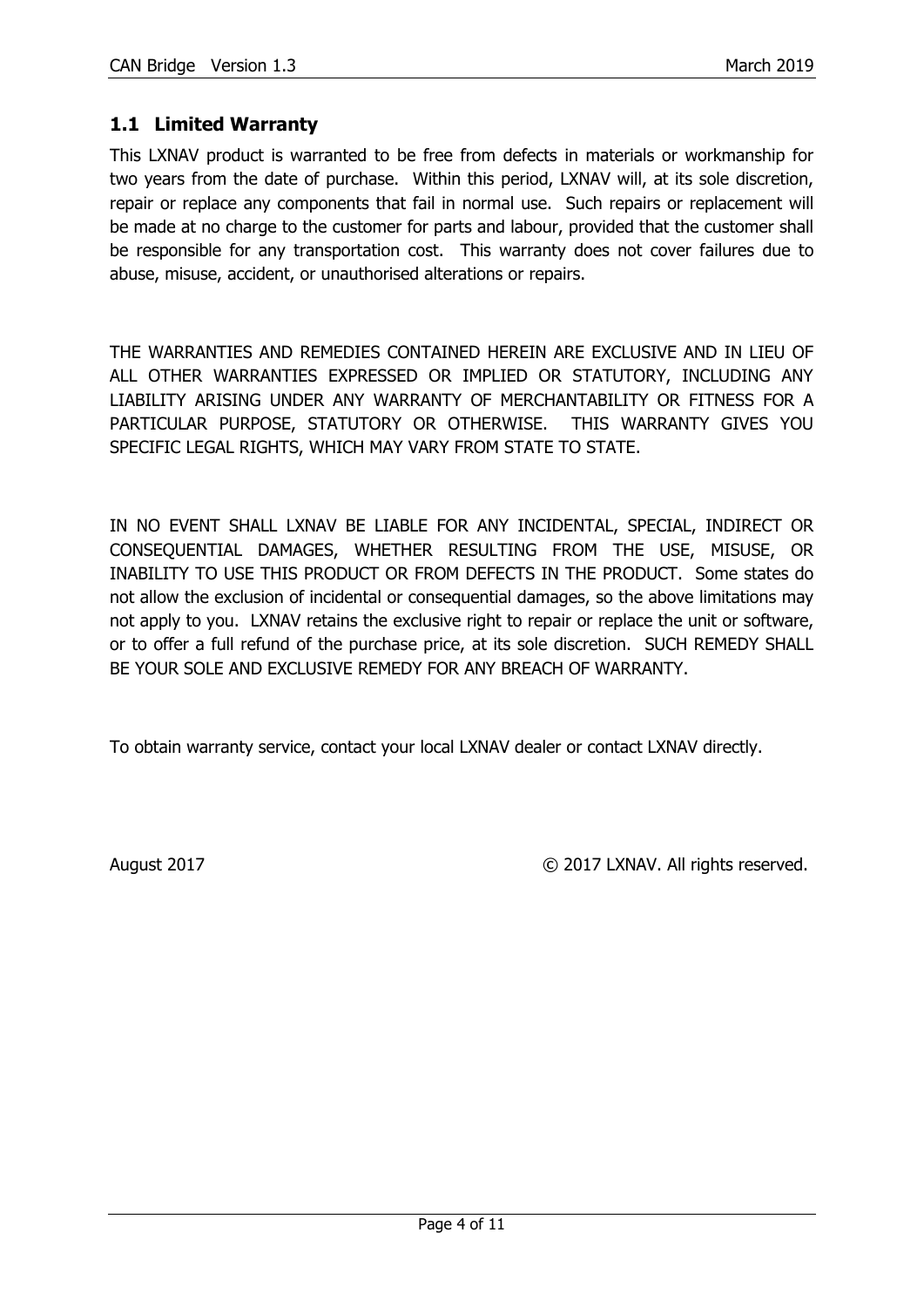#### <span id="page-3-0"></span>**1.1 Limited Warranty**

This LXNAV product is warranted to be free from defects in materials or workmanship for two years from the date of purchase. Within this period, LXNAV will, at its sole discretion, repair or replace any components that fail in normal use. Such repairs or replacement will be made at no charge to the customer for parts and labour, provided that the customer shall be responsible for any transportation cost. This warranty does not cover failures due to abuse, misuse, accident, or unauthorised alterations or repairs.

THE WARRANTIES AND REMEDIES CONTAINED HEREIN ARE EXCLUSIVE AND IN LIEU OF ALL OTHER WARRANTIES EXPRESSED OR IMPLIED OR STATUTORY, INCLUDING ANY LIABILITY ARISING UNDER ANY WARRANTY OF MERCHANTABILITY OR FITNESS FOR A PARTICULAR PURPOSE, STATUTORY OR OTHERWISE. THIS WARRANTY GIVES YOU SPECIFIC LEGAL RIGHTS, WHICH MAY VARY FROM STATE TO STATE.

IN NO EVENT SHALL LXNAV BE LIABLE FOR ANY INCIDENTAL, SPECIAL, INDIRECT OR CONSEQUENTIAL DAMAGES, WHETHER RESULTING FROM THE USE, MISUSE, OR INABILITY TO USE THIS PRODUCT OR FROM DEFECTS IN THE PRODUCT. Some states do not allow the exclusion of incidental or consequential damages, so the above limitations may not apply to you. LXNAV retains the exclusive right to repair or replace the unit or software, or to offer a full refund of the purchase price, at its sole discretion. SUCH REMEDY SHALL BE YOUR SOLE AND EXCLUSIVE REMEDY FOR ANY BREACH OF WARRANTY.

To obtain warranty service, contact your local LXNAV dealer or contact LXNAV directly.

August 2017 COMPUTER CONTROLLER CONTROLLER CONTROLLER CONTROLLER CONTROLLER CONTROLLER CONTROLLER CONTROLLER COMPUTER CONTROLLER CONTROLLER CONTROLLER CONTROLLER CONTROLLER CONTROLLER CONTROLLER CONTROLLER CONTROLLER CONTR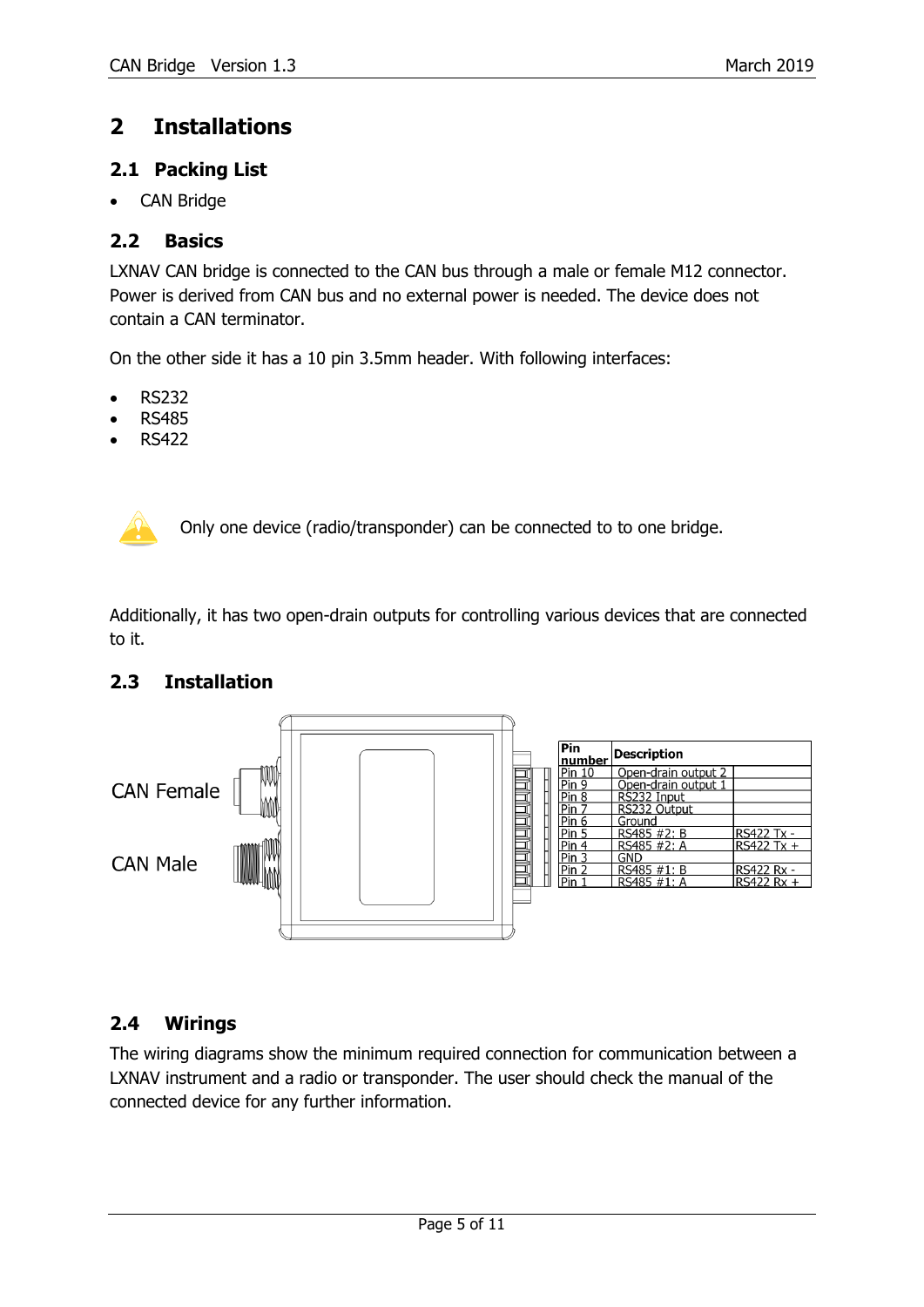### <span id="page-4-0"></span>**2 Installations**

#### <span id="page-4-1"></span>**2.1 Packing List**

CAN Bridge

#### <span id="page-4-2"></span>**2.2 Basics**

LXNAV CAN bridge is connected to the CAN bus through a male or female M12 connector. Power is derived from CAN bus and no external power is needed. The device does not contain a CAN terminator.

On the other side it has a 10 pin 3.5mm header. With following interfaces:

- $\bullet$  RS232
- RS485
- RS422



Only one device (radio/transponder) can be connected to to one bridge.

Additionally, it has two open-drain outputs for controlling various devices that are connected to it.

#### <span id="page-4-3"></span>**2.3 Installation**



#### <span id="page-4-4"></span>**2.4 Wirings**

The wiring diagrams show the minimum required connection for communication between a LXNAV instrument and a radio or transponder. The user should check the manual of the connected device for any further information.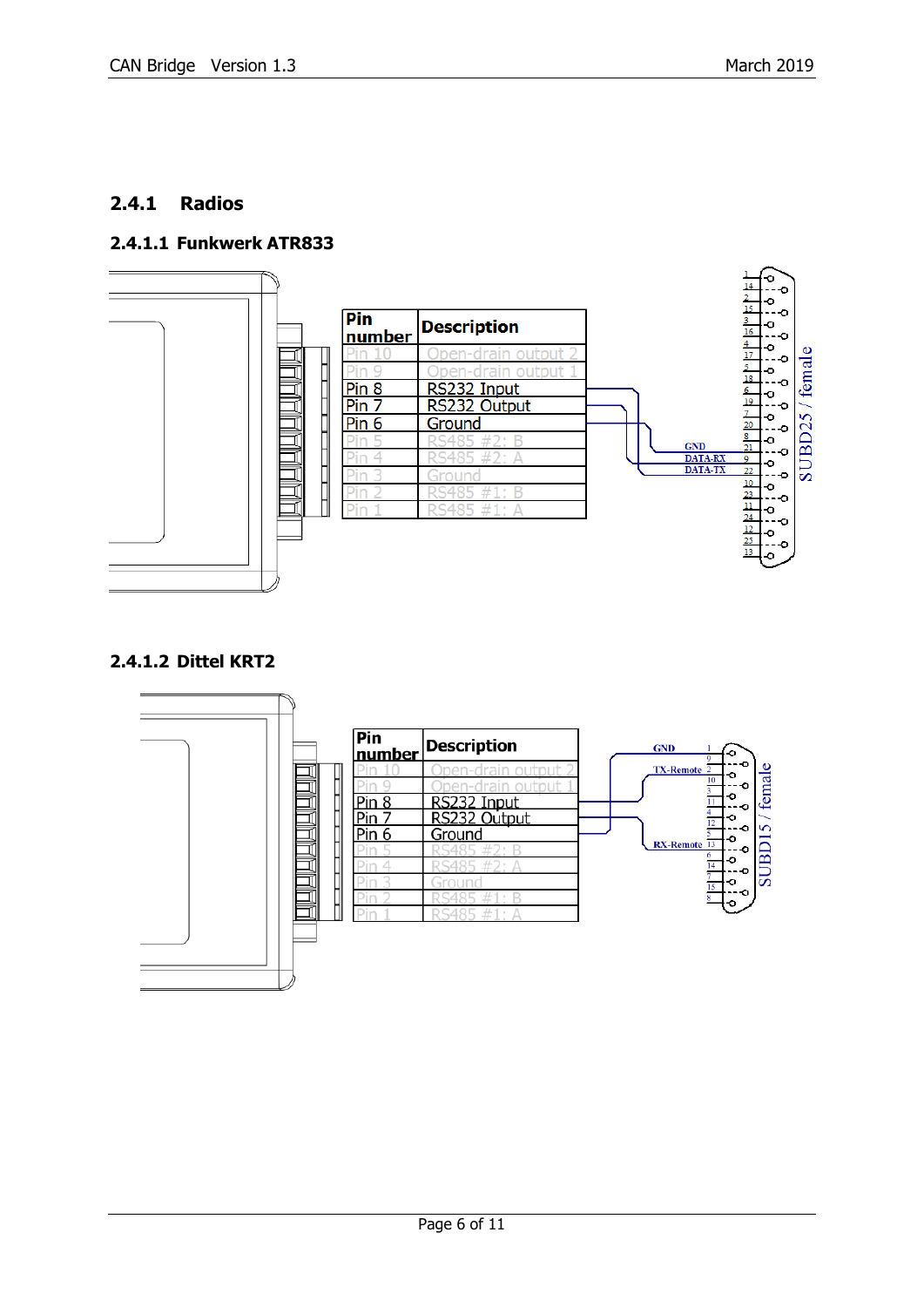#### <span id="page-5-0"></span>**2.4.1 Radios**

#### <span id="page-5-1"></span>**2.4.1.1 Funkwerk ATR833**



#### <span id="page-5-2"></span>**2.4.1.2 Dittel KRT2**

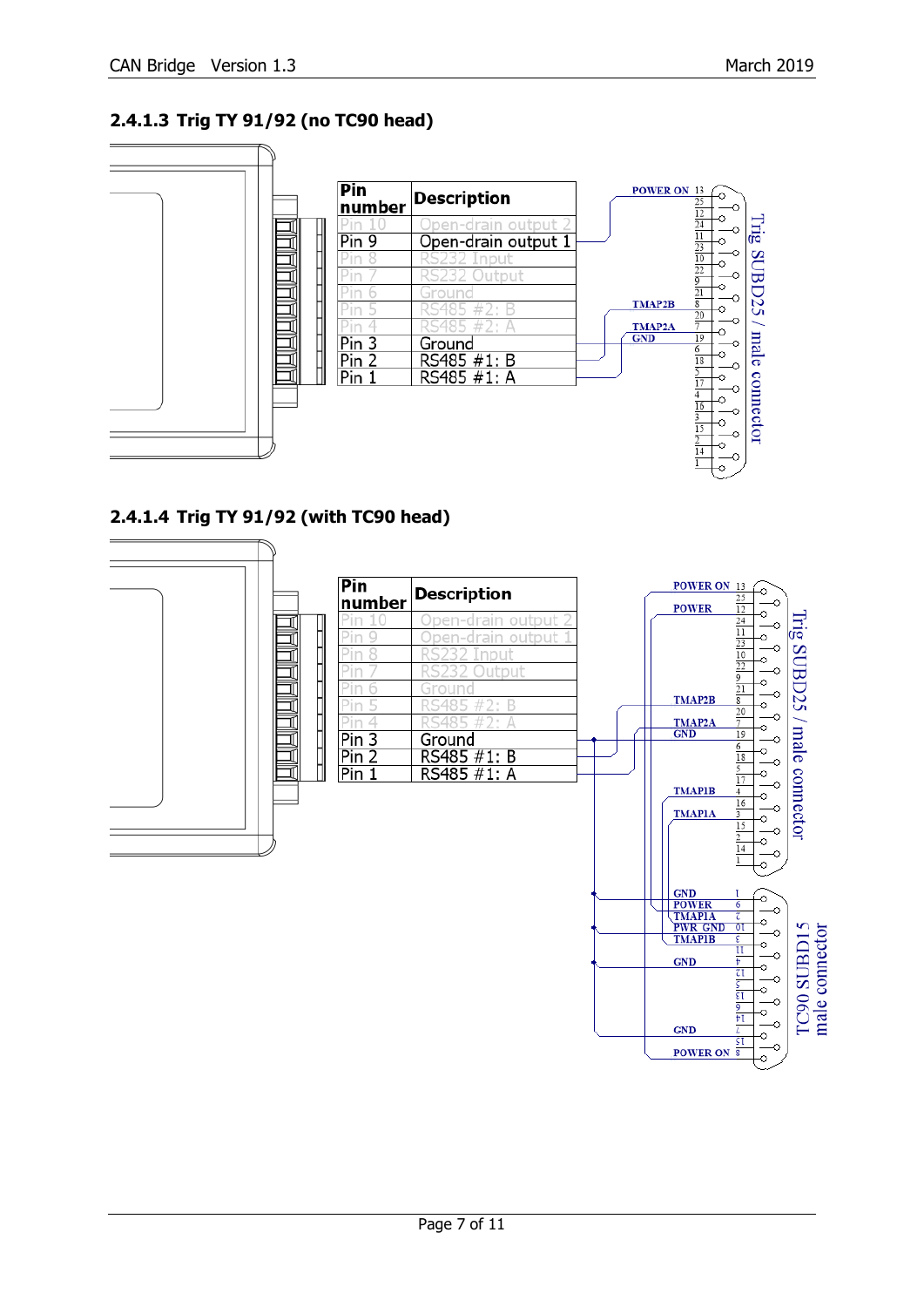#### <span id="page-6-0"></span>**2.4.1.3 Trig TY 91/92 (no TC90 head)**



<span id="page-6-1"></span>**2.4.1.4 Trig TY 91/92 (with TC90 head)**

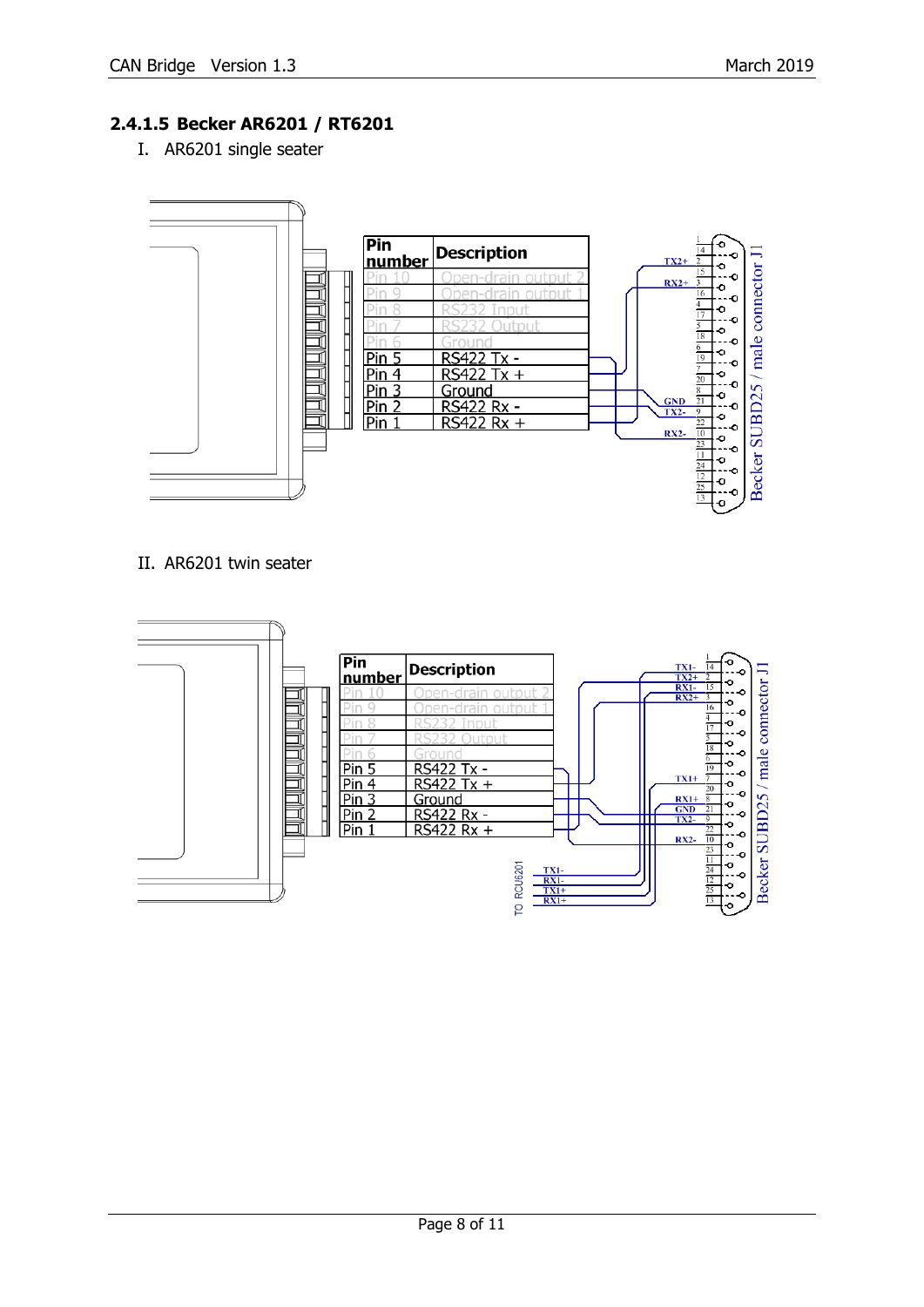#### <span id="page-7-0"></span>**2.4.1.5 Becker AR6201 / RT6201**

I. AR6201 single seater



#### II. AR6201 twin seater

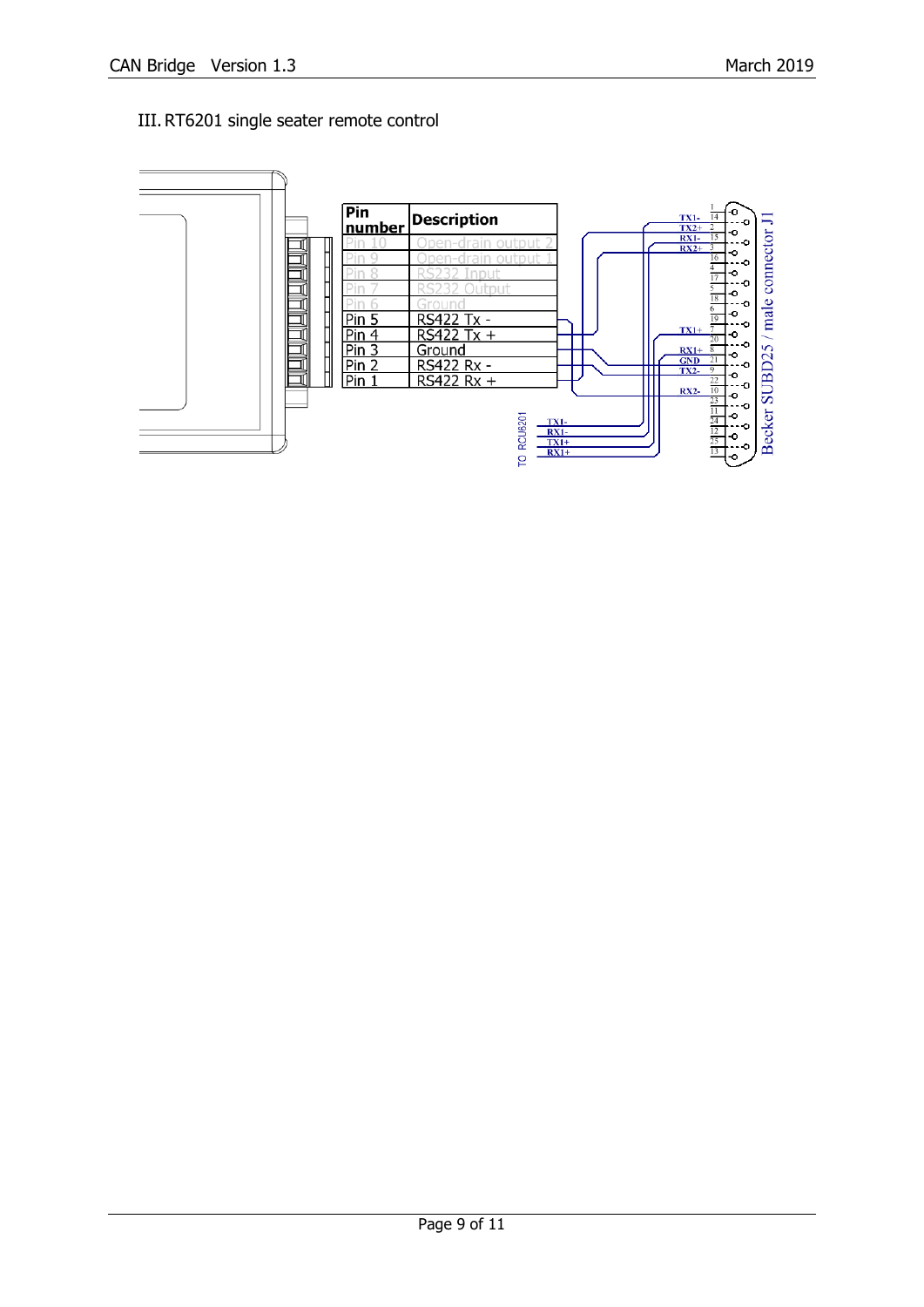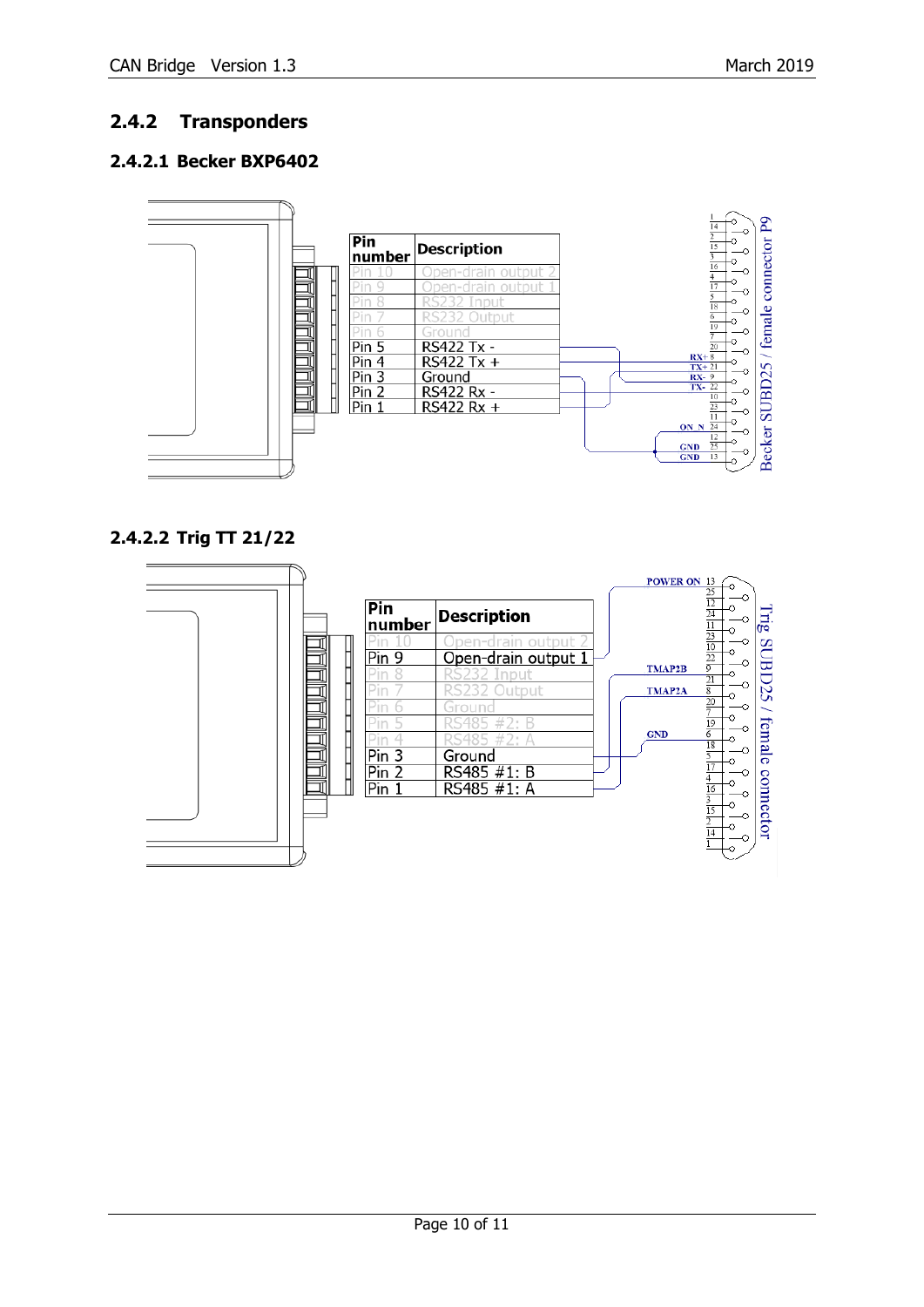#### <span id="page-9-0"></span>**2.4.2 Transponders**

#### <span id="page-9-1"></span>**2.4.2.1 Becker BXP6402**



#### <span id="page-9-2"></span>**2.4.2.2 Trig TT 21/22**